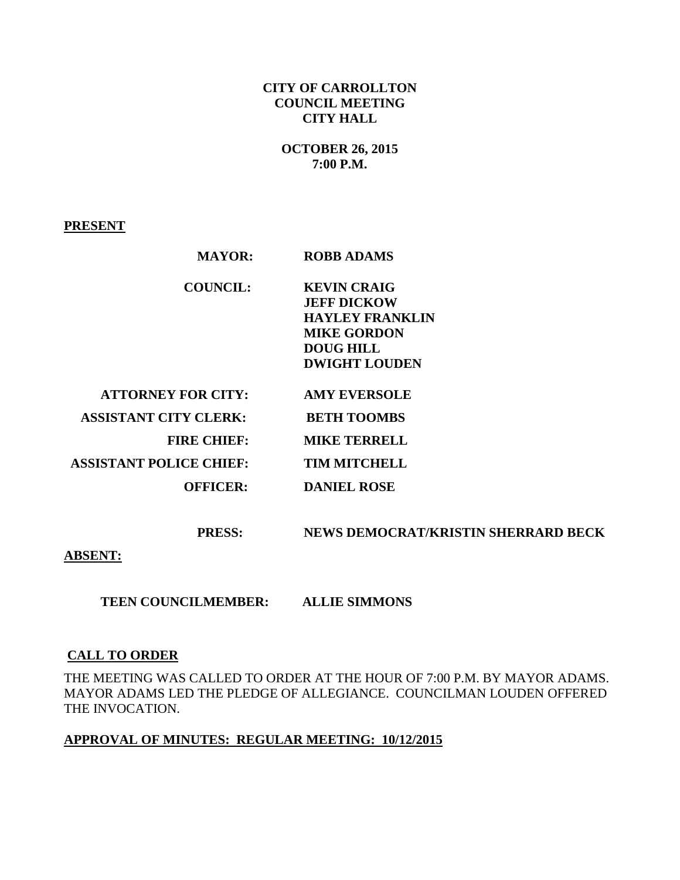# **CITY OF CARROLLTON COUNCIL MEETING CITY HALL**

### **OCTOBER 26, 2015 7:00 P.M.**

**PRESENT**

| <b>MAYOR:</b>                  | <b>ROBB ADAMS</b>                                                                                                                    |
|--------------------------------|--------------------------------------------------------------------------------------------------------------------------------------|
| <b>COUNCIL:</b>                | <b>KEVIN CRAIG</b><br><b>JEFF DICKOW</b><br><b>HAYLEY FRANKLIN</b><br><b>MIKE GORDON</b><br><b>DOUG HILL</b><br><b>DWIGHT LOUDEN</b> |
| <b>ATTORNEY FOR CITY:</b>      | <b>AMY EVERSOLE</b>                                                                                                                  |
| <b>ASSISTANT CITY CLERK:</b>   | <b>BETH TOOMBS</b>                                                                                                                   |
| <b>FIRE CHIEF:</b>             | <b>MIKE TERRELL</b>                                                                                                                  |
| <b>ASSISTANT POLICE CHIEF:</b> | <b>TIM MITCHELL</b>                                                                                                                  |
| <b>OFFICER:</b>                | <b>DANIEL ROSE</b>                                                                                                                   |

 **PRESS: NEWS DEMOCRAT/KRISTIN SHERRARD BECK** 

**ABSENT:** 

 **TEEN COUNCILMEMBER: ALLIE SIMMONS** 

# **CALL TO ORDER**

THE MEETING WAS CALLED TO ORDER AT THE HOUR OF 7:00 P.M. BY MAYOR ADAMS. MAYOR ADAMS LED THE PLEDGE OF ALLEGIANCE. COUNCILMAN LOUDEN OFFERED THE INVOCATION.

# **APPROVAL OF MINUTES: REGULAR MEETING: 10/12/2015**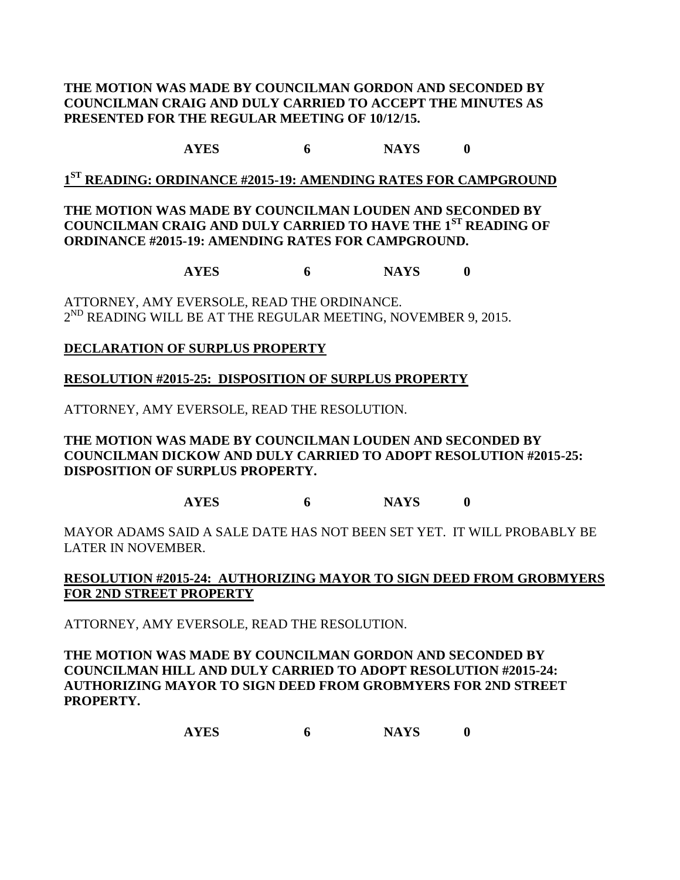## **THE MOTION WAS MADE BY COUNCILMAN GORDON AND SECONDED BY COUNCILMAN CRAIG AND DULY CARRIED TO ACCEPT THE MINUTES AS PRESENTED FOR THE REGULAR MEETING OF 10/12/15.**

# **AYES 6 NAYS 0**

**1 ST READING: ORDINANCE #2015-19: AMENDING RATES FOR CAMPGROUND**

## **THE MOTION WAS MADE BY COUNCILMAN LOUDEN AND SECONDED BY COUNCILMAN CRAIG AND DULY CARRIED TO HAVE THE 1ST READING OF ORDINANCE #2015-19: AMENDING RATES FOR CAMPGROUND.**

**AYES 6 NAYS 0**

ATTORNEY, AMY EVERSOLE, READ THE ORDINANCE.  $2^{ND}$  READING WILL BE AT THE REGULAR MEETING, NOVEMBER 9, 2015.

# **DECLARATION OF SURPLUS PROPERTY**

# **RESOLUTION #2015-25: DISPOSITION OF SURPLUS PROPERTY**

ATTORNEY, AMY EVERSOLE, READ THE RESOLUTION.

**THE MOTION WAS MADE BY COUNCILMAN LOUDEN AND SECONDED BY COUNCILMAN DICKOW AND DULY CARRIED TO ADOPT RESOLUTION #2015-25: DISPOSITION OF SURPLUS PROPERTY.**

**AYES 6 NAYS 0**

MAYOR ADAMS SAID A SALE DATE HAS NOT BEEN SET YET. IT WILL PROBABLY BE LATER IN NOVEMBER.

# **RESOLUTION #2015-24: AUTHORIZING MAYOR TO SIGN DEED FROM GROBMYERS FOR 2ND STREET PROPERTY**

ATTORNEY, AMY EVERSOLE, READ THE RESOLUTION.

**THE MOTION WAS MADE BY COUNCILMAN GORDON AND SECONDED BY COUNCILMAN HILL AND DULY CARRIED TO ADOPT RESOLUTION #2015-24: AUTHORIZING MAYOR TO SIGN DEED FROM GROBMYERS FOR 2ND STREET PROPERTY.**

**AYES 6 NAYS 0**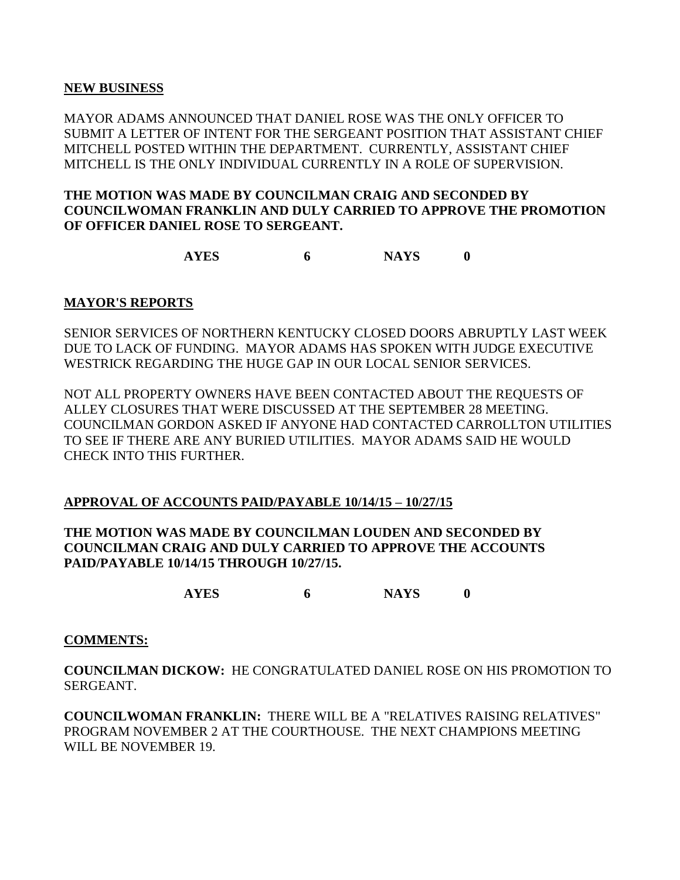#### **NEW BUSINESS**

MAYOR ADAMS ANNOUNCED THAT DANIEL ROSE WAS THE ONLY OFFICER TO SUBMIT A LETTER OF INTENT FOR THE SERGEANT POSITION THAT ASSISTANT CHIEF MITCHELL POSTED WITHIN THE DEPARTMENT. CURRENTLY, ASSISTANT CHIEF MITCHELL IS THE ONLY INDIVIDUAL CURRENTLY IN A ROLE OF SUPERVISION.

### **THE MOTION WAS MADE BY COUNCILMAN CRAIG AND SECONDED BY COUNCILWOMAN FRANKLIN AND DULY CARRIED TO APPROVE THE PROMOTION OF OFFICER DANIEL ROSE TO SERGEANT.**

**AYES 6 NAYS 0**

#### **MAYOR'S REPORTS**

SENIOR SERVICES OF NORTHERN KENTUCKY CLOSED DOORS ABRUPTLY LAST WEEK DUE TO LACK OF FUNDING. MAYOR ADAMS HAS SPOKEN WITH JUDGE EXECUTIVE WESTRICK REGARDING THE HUGE GAP IN OUR LOCAL SENIOR SERVICES.

NOT ALL PROPERTY OWNERS HAVE BEEN CONTACTED ABOUT THE REQUESTS OF ALLEY CLOSURES THAT WERE DISCUSSED AT THE SEPTEMBER 28 MEETING. COUNCILMAN GORDON ASKED IF ANYONE HAD CONTACTED CARROLLTON UTILITIES TO SEE IF THERE ARE ANY BURIED UTILITIES. MAYOR ADAMS SAID HE WOULD CHECK INTO THIS FURTHER.

# **APPROVAL OF ACCOUNTS PAID/PAYABLE 10/14/15 – 10/27/15**

## **THE MOTION WAS MADE BY COUNCILMAN LOUDEN AND SECONDED BY COUNCILMAN CRAIG AND DULY CARRIED TO APPROVE THE ACCOUNTS PAID/PAYABLE 10/14/15 THROUGH 10/27/15.**

**AYES 6 NAYS 0**

#### **COMMENTS:**

**COUNCILMAN DICKOW:** HE CONGRATULATED DANIEL ROSE ON HIS PROMOTION TO SERGEANT.

**COUNCILWOMAN FRANKLIN:** THERE WILL BE A "RELATIVES RAISING RELATIVES" PROGRAM NOVEMBER 2 AT THE COURTHOUSE. THE NEXT CHAMPIONS MEETING WILL BE NOVEMBER 19.